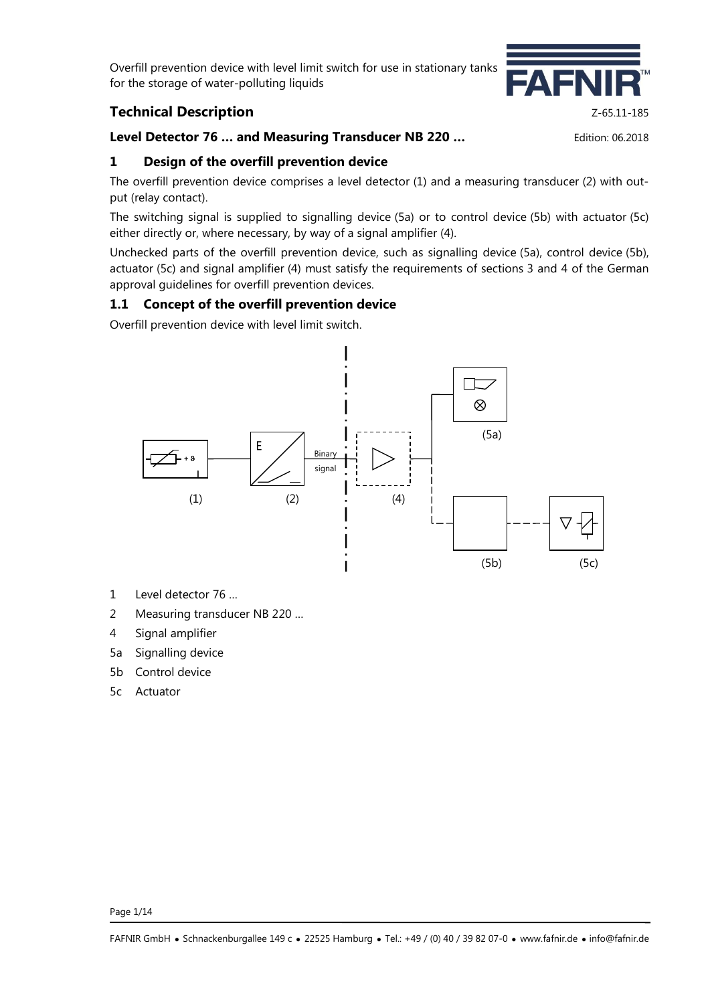# **Technical Description Z-65.11-185**

### **Level Detector 76 … and Measuring Transducer NB 220 …** Edition: 06.2018

## **1 Design of the overfill prevention device**

The overfill prevention device comprises a level detector (1) and a measuring transducer (2) with output (relay contact).

The switching signal is supplied to signalling device (5a) or to control device (5b) with actuator (5c) either directly or, where necessary, by way of a signal amplifier (4).

Unchecked parts of the overfill prevention device, such as signalling device (5a), control device (5b), actuator (5c) and signal amplifier (4) must satisfy the requirements of sections 3 and 4 of the German approval guidelines for overfill prevention devices.

## **1.1 Concept of the overfill prevention device**

Overfill prevention device with level limit switch.



- 1 Level detector 76 …
- 2 Measuring transducer NB 220 …
- 4 Signal amplifier
- 5a Signalling device
- 5b Control device
- 5c Actuator

Page 1/14

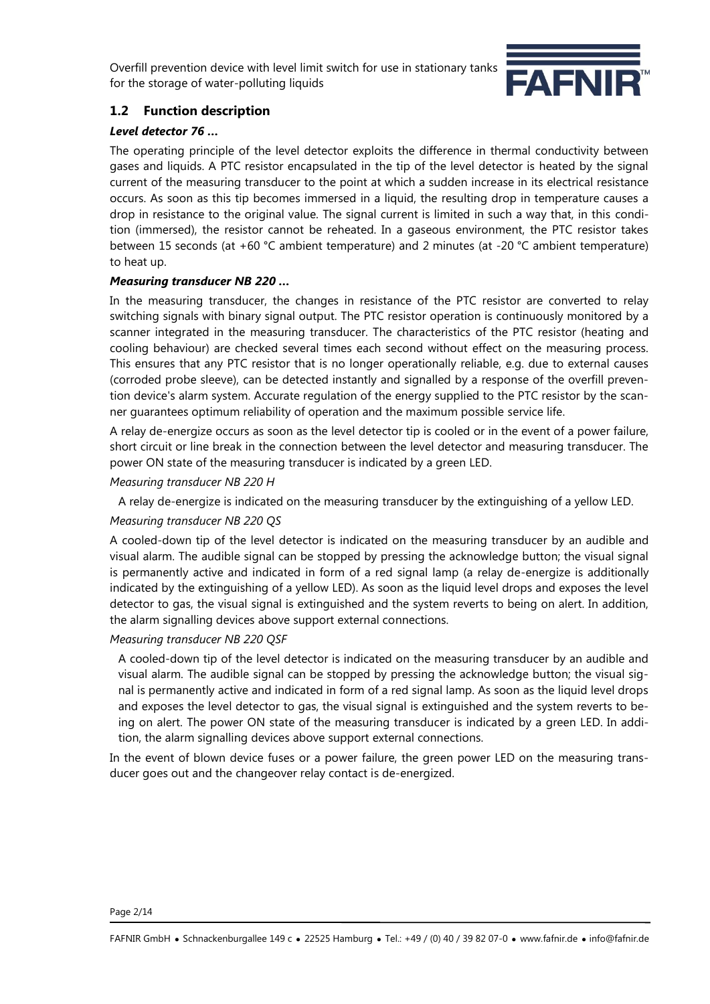

# **1.2 Function description**

### *Level detector 76 …*

The operating principle of the level detector exploits the difference in thermal conductivity between gases and liquids. A PTC resistor encapsulated in the tip of the level detector is heated by the signal current of the measuring transducer to the point at which a sudden increase in its electrical resistance occurs. As soon as this tip becomes immersed in a liquid, the resulting drop in temperature causes a drop in resistance to the original value. The signal current is limited in such a way that, in this condition (immersed), the resistor cannot be reheated. In a gaseous environment, the PTC resistor takes between 15 seconds (at +60 °C ambient temperature) and 2 minutes (at -20 °C ambient temperature) to heat up.

### *Measuring transducer NB 220 …*

In the measuring transducer, the changes in resistance of the PTC resistor are converted to relay switching signals with binary signal output. The PTC resistor operation is continuously monitored by a scanner integrated in the measuring transducer. The characteristics of the PTC resistor (heating and cooling behaviour) are checked several times each second without effect on the measuring process. This ensures that any PTC resistor that is no longer operationally reliable, e.g. due to external causes (corroded probe sleeve), can be detected instantly and signalled by a response of the overfill prevention device's alarm system. Accurate regulation of the energy supplied to the PTC resistor by the scanner guarantees optimum reliability of operation and the maximum possible service life.

A relay de-energize occurs as soon as the level detector tip is cooled or in the event of a power failure, short circuit or line break in the connection between the level detector and measuring transducer. The power ON state of the measuring transducer is indicated by a green LED.

### *Measuring transducer NB 220 H*

A relay de-energize is indicated on the measuring transducer by the extinguishing of a yellow LED.

#### *Measuring transducer NB 220 QS*

A cooled-down tip of the level detector is indicated on the measuring transducer by an audible and visual alarm. The audible signal can be stopped by pressing the acknowledge button; the visual signal is permanently active and indicated in form of a red signal lamp (a relay de-energize is additionally indicated by the extinguishing of a yellow LED). As soon as the liquid level drops and exposes the level detector to gas, the visual signal is extinguished and the system reverts to being on alert. In addition, the alarm signalling devices above support external connections.

#### *Measuring transducer NB 220 QSF*

A cooled-down tip of the level detector is indicated on the measuring transducer by an audible and visual alarm. The audible signal can be stopped by pressing the acknowledge button; the visual signal is permanently active and indicated in form of a red signal lamp. As soon as the liquid level drops and exposes the level detector to gas, the visual signal is extinguished and the system reverts to being on alert. The power ON state of the measuring transducer is indicated by a green LED. In addition, the alarm signalling devices above support external connections.

In the event of blown device fuses or a power failure, the green power LED on the measuring transducer goes out and the changeover relay contact is de-energized.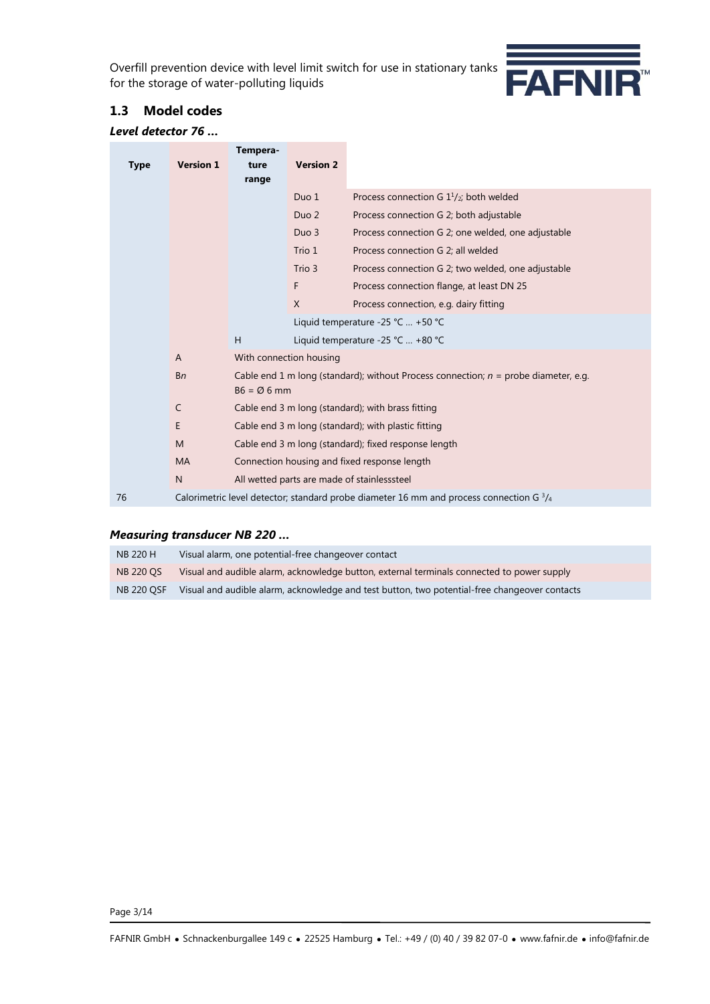

### **1.3 Model codes**

#### *Level detector 76 …*

| <b>Type</b>                                      | <b>Version 1</b> | Tempera-<br>ture<br>range                                                                       | <b>Version 2</b>                                                                                                                                                 |                                                    |  |
|--------------------------------------------------|------------------|-------------------------------------------------------------------------------------------------|------------------------------------------------------------------------------------------------------------------------------------------------------------------|----------------------------------------------------|--|
|                                                  |                  |                                                                                                 | Duo 1                                                                                                                                                            | Process connection G $1\frac{1}{2}$ ; both welded  |  |
|                                                  |                  |                                                                                                 | Duo <sub>2</sub>                                                                                                                                                 | Process connection G 2; both adjustable            |  |
|                                                  |                  |                                                                                                 | Duo 3                                                                                                                                                            | Process connection G 2; one welded, one adjustable |  |
|                                                  |                  |                                                                                                 | Trio 1                                                                                                                                                           | Process connection G 2; all welded                 |  |
|                                                  |                  |                                                                                                 | Trio 3                                                                                                                                                           | Process connection G 2; two welded, one adjustable |  |
|                                                  |                  |                                                                                                 | F                                                                                                                                                                | Process connection flange, at least DN 25          |  |
|                                                  |                  |                                                                                                 | $\mathsf{X}$                                                                                                                                                     | Process connection, e.g. dairy fitting             |  |
|                                                  |                  |                                                                                                 |                                                                                                                                                                  | Liquid temperature -25 °C  +50 °C                  |  |
|                                                  |                  | H                                                                                               |                                                                                                                                                                  | Liquid temperature -25 °C  +80 °C                  |  |
|                                                  | $\mathsf{A}$     |                                                                                                 | With connection housing                                                                                                                                          |                                                    |  |
|                                                  | <b>Bn</b>        | $B6 = \emptyset 6$ mm                                                                           | Cable end 1 m long (standard); without Process connection; $n =$ probe diameter, e.g.                                                                            |                                                    |  |
|                                                  | C                |                                                                                                 | Cable end 3 m long (standard); with brass fitting<br>Cable end 3 m long (standard); with plastic fitting<br>Cable end 3 m long (standard); fixed response length |                                                    |  |
|                                                  | E                |                                                                                                 |                                                                                                                                                                  |                                                    |  |
|                                                  | M                |                                                                                                 |                                                                                                                                                                  |                                                    |  |
|                                                  | <b>MA</b>        | Connection housing and fixed response length                                                    |                                                                                                                                                                  |                                                    |  |
| All wetted parts are made of stainlesssteel<br>N |                  |                                                                                                 |                                                                                                                                                                  |                                                    |  |
| 76                                               |                  | Calorimetric level detector; standard probe diameter 16 mm and process connection G $^{3}/_{4}$ |                                                                                                                                                                  |                                                    |  |

#### *Measuring transducer NB 220 …*

| <b>NB 220 H</b>   | Visual alarm, one potential-free changeover contact                                           |
|-------------------|-----------------------------------------------------------------------------------------------|
| <b>NB 220 OS</b>  | Visual and audible alarm, acknowledge button, external terminals connected to power supply    |
| <b>NB 220 OSF</b> | Visual and audible alarm, acknowledge and test button, two potential-free changeover contacts |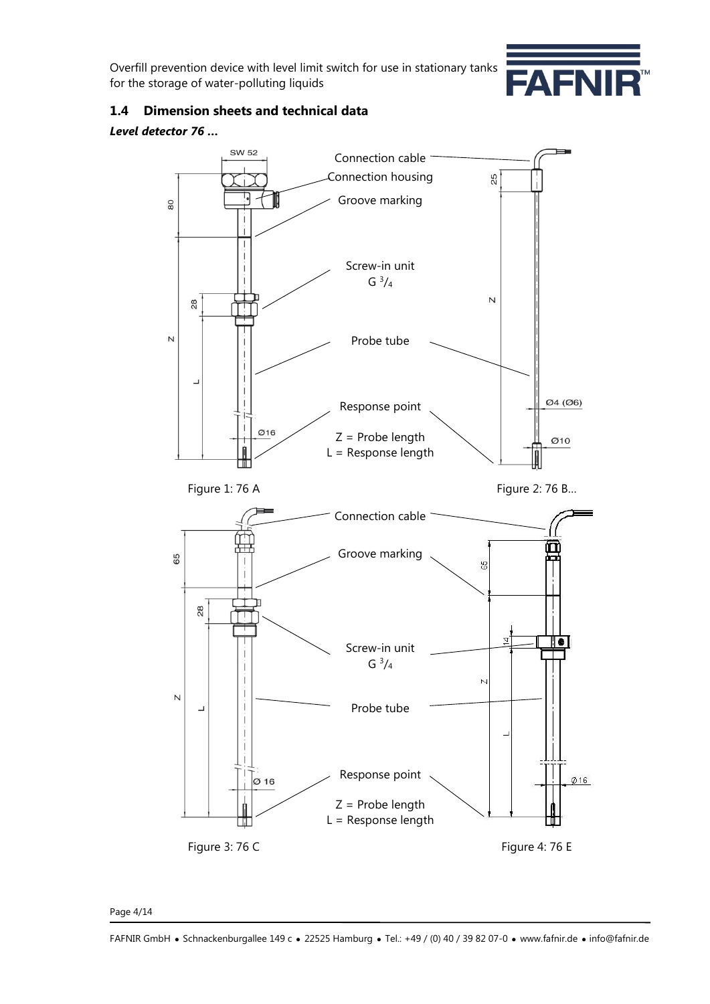

## **1.4 Dimension sheets and technical data**

### *Level detector 76 …*



#### Page 4/14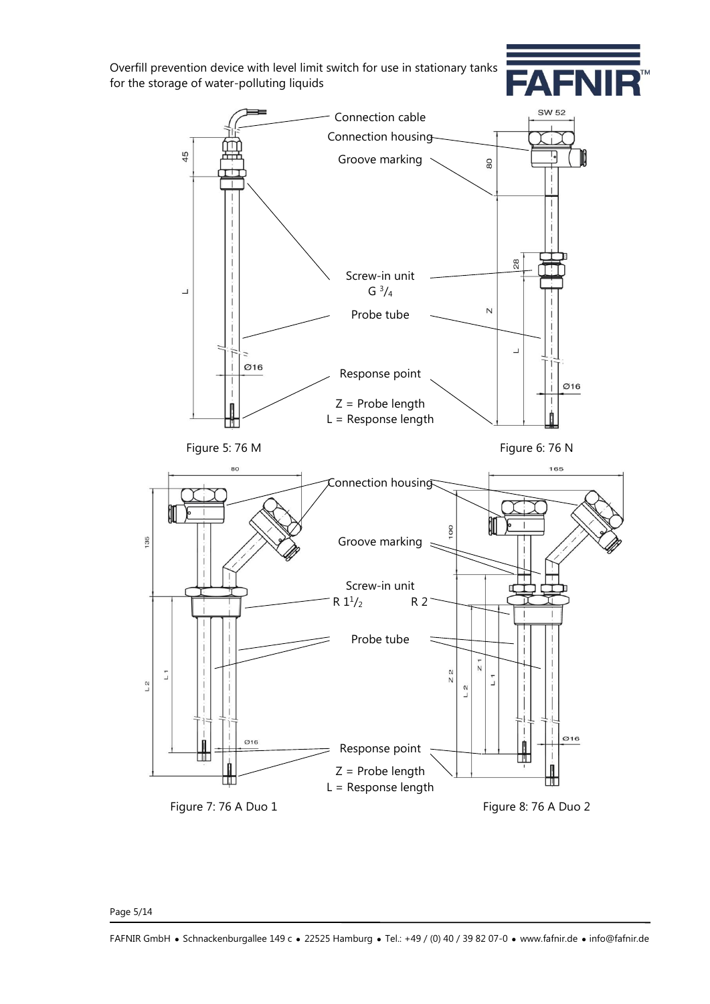



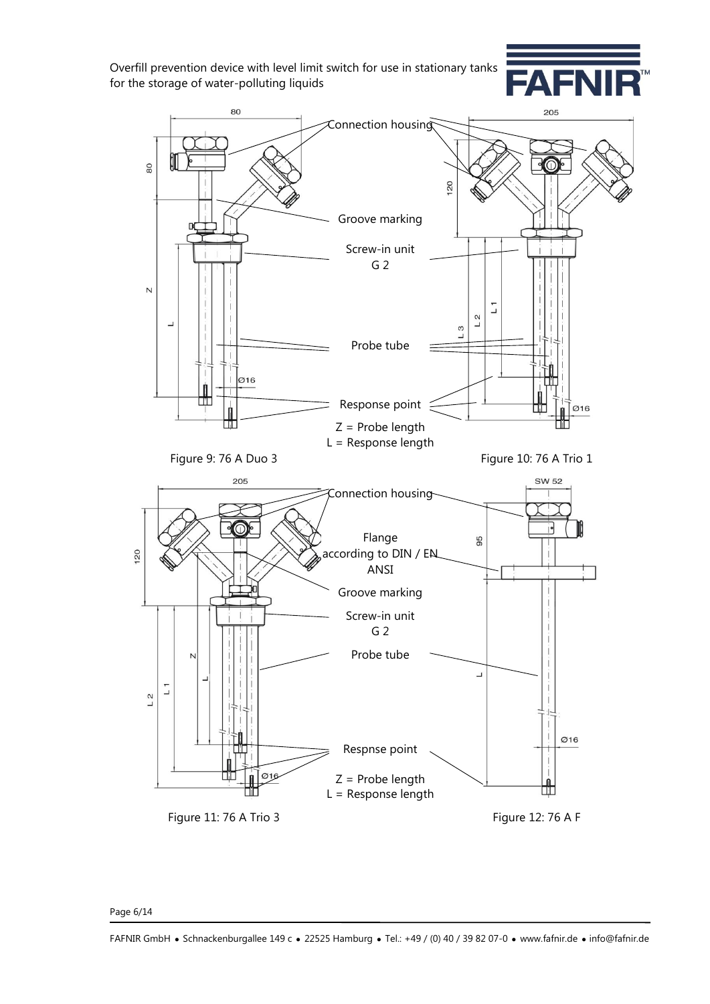



Page 6/14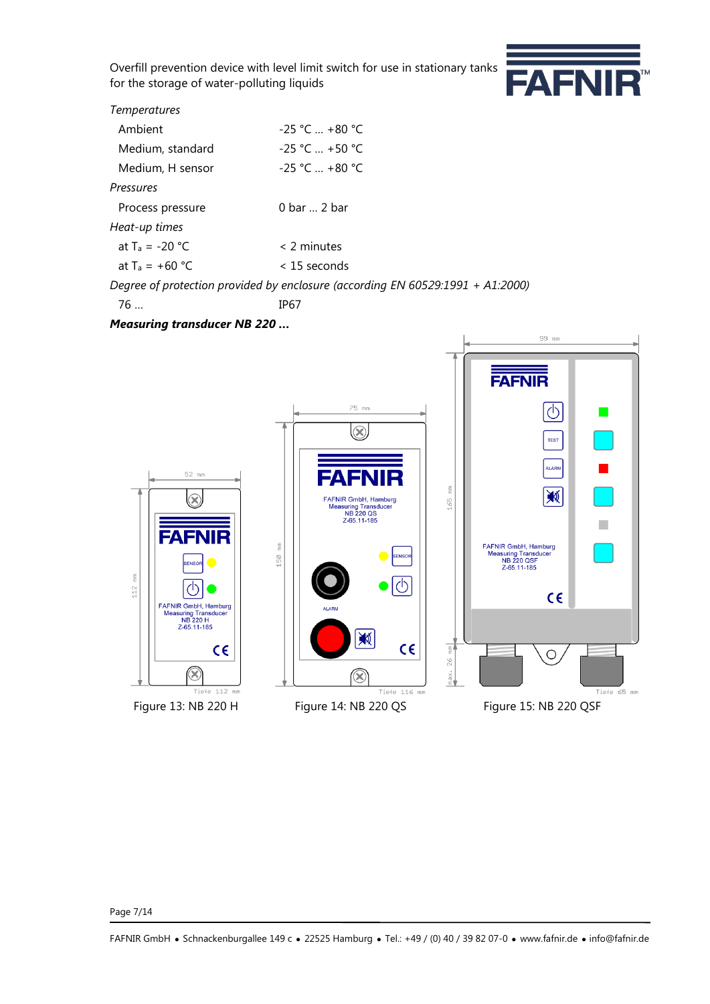

### *Temperatures*

| Ambient           | $-25$ °C  +80 °C                                                               |
|-------------------|--------------------------------------------------------------------------------|
| Medium, standard  | $-25$ °C $ + 50$ °C                                                            |
| Medium, H sensor  | $-25$ °C  +80 °C                                                               |
| Pressures         |                                                                                |
| Process pressure  | $0 \text{ bar} \dots 2 \text{ bar}$                                            |
| Heat-up times     |                                                                                |
| at $T_a = -20$ °C | $<$ 2 minutes                                                                  |
| at $T_a = +60 °C$ | $<$ 15 seconds                                                                 |
|                   | Degree of protection provided by enclosure (according EN 60529:1991 + A1:2000) |
|                   |                                                                                |

76 … IP67

 $\frac{\varepsilon}{\varepsilon}$ 

112

*Measuring transducer NB 220 …*



FAFNIR GmbH · Schnackenburgallee 149 c · 22525 Hamburg · Tel.: +49 / (0) 40 / 39 82 07-0 · www.fafnir.de · info@fafnir.de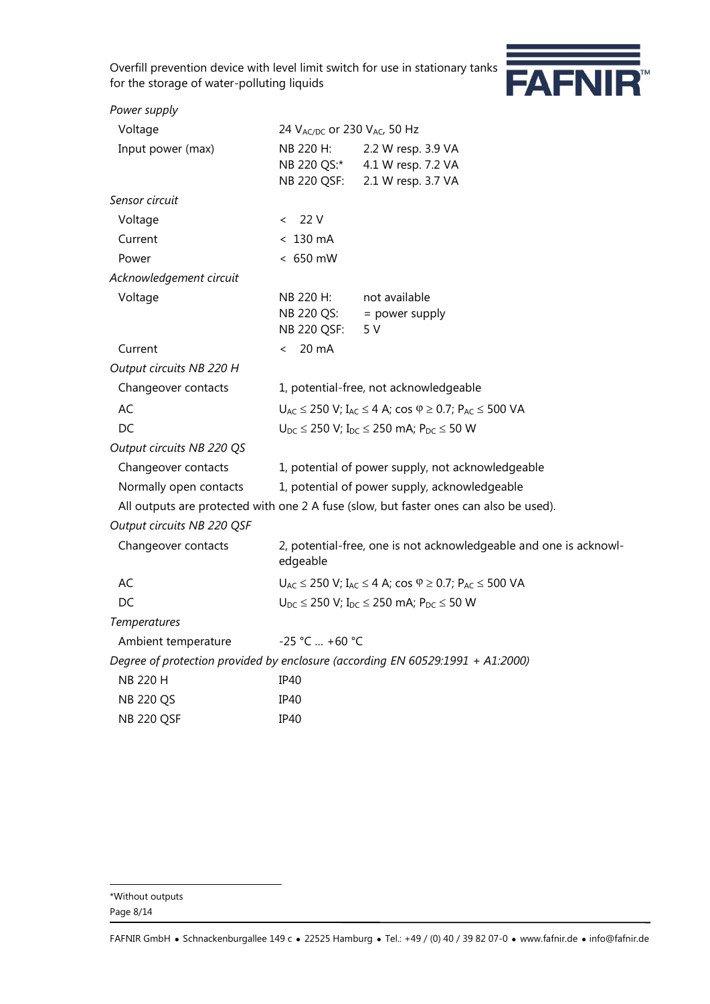

| Power supply               |                                                                                    |                                                                                       |  |  |
|----------------------------|------------------------------------------------------------------------------------|---------------------------------------------------------------------------------------|--|--|
| Voltage                    | 24 V <sub>AC/DC</sub> or 230 V <sub>AC</sub> , 50 Hz                               |                                                                                       |  |  |
| Input power (max)          | NB 220 H:                                                                          | 2.2 W resp. 3.9 VA                                                                    |  |  |
|                            |                                                                                    | NB 220 QS:* 4.1 W resp. 7.2 VA                                                        |  |  |
|                            | NB 220 QSF:                                                                        | 2.1 W resp. 3.7 VA                                                                    |  |  |
| Sensor circuit             |                                                                                    |                                                                                       |  |  |
| Voltage                    | 22 V<br>$\lt$                                                                      |                                                                                       |  |  |
| Current                    | $< 130 \text{ mA}$                                                                 |                                                                                       |  |  |
| Power                      | $< 650$ mW                                                                         |                                                                                       |  |  |
| Acknowledgement circuit    |                                                                                    |                                                                                       |  |  |
| Voltage                    | NB 220 H:                                                                          | not available                                                                         |  |  |
|                            | NB 220 QS:                                                                         | $=$ power supply                                                                      |  |  |
|                            | NB 220 QSF:                                                                        | 5 V                                                                                   |  |  |
| Current                    | 20 mA<br>$\overline{\phantom{0}}$                                                  |                                                                                       |  |  |
| Output circuits NB 220 H   |                                                                                    |                                                                                       |  |  |
| Changeover contacts        | 1, potential-free, not acknowledgeable                                             |                                                                                       |  |  |
| AC                         | $U_{AC} \le 250$ V; $I_{AC} \le 4$ A; cos $\varphi \ge 0.7$ ; $P_{AC} \le 500$ VA  |                                                                                       |  |  |
| DC                         |                                                                                    | $U_{DC} \le 250$ V; $I_{DC} \le 250$ mA; $P_{DC} \le 50$ W                            |  |  |
| Output circuits NB 220 QS  |                                                                                    |                                                                                       |  |  |
| Changeover contacts        |                                                                                    | 1, potential of power supply, not acknowledgeable                                     |  |  |
| Normally open contacts     |                                                                                    | 1, potential of power supply, acknowledgeable                                         |  |  |
|                            |                                                                                    | All outputs are protected with one 2 A fuse (slow, but faster ones can also be used). |  |  |
| Output circuits NB 220 QSF |                                                                                    |                                                                                       |  |  |
| Changeover contacts        | edgeable                                                                           | 2, potential-free, one is not acknowledgeable and one is acknowl-                     |  |  |
| AC                         | $U_{AC} \le 250$ V; $I_{AC} \le 4$ A; $\cos \varphi \ge 0.7$ ; $P_{AC} \le 500$ VA |                                                                                       |  |  |
| DC                         | $U_{DC} \le 250$ V; $I_{DC} \le 250$ mA; $P_{DC} \le 50$ W                         |                                                                                       |  |  |
| <b>Temperatures</b>        |                                                                                    |                                                                                       |  |  |
| Ambient temperature        | -25 °C  +60 °C                                                                     |                                                                                       |  |  |
|                            |                                                                                    | Degree of protection provided by enclosure (according EN 60529:1991 + A1:2000)        |  |  |
| NB 220 H                   | IP40                                                                               |                                                                                       |  |  |
| <b>NB 220 QS</b>           | IP40                                                                               |                                                                                       |  |  |
| <b>NB 220 QSF</b>          | IP40                                                                               |                                                                                       |  |  |
|                            |                                                                                    |                                                                                       |  |  |

l \*Without outputs

Page 8/14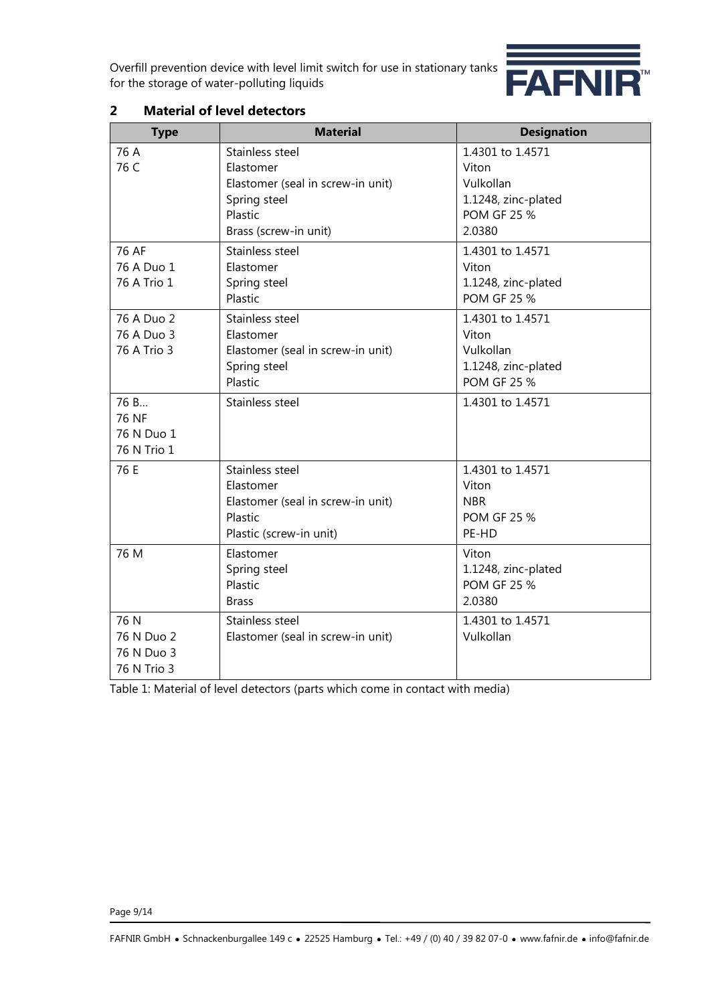

| <b>Type</b>                                     | <b>Material</b>                                                                                                       | <b>Designation</b>                                                                            |
|-------------------------------------------------|-----------------------------------------------------------------------------------------------------------------------|-----------------------------------------------------------------------------------------------|
| 76 A<br>76 C                                    | Stainless steel<br>Elastomer<br>Elastomer (seal in screw-in unit)<br>Spring steel<br>Plastic<br>Brass (screw-in unit) | 1.4301 to 1.4571<br>Viton<br>Vulkollan<br>1.1248, zinc-plated<br><b>POM GF 25 %</b><br>2.0380 |
| 76 AF<br>76 A Duo 1<br>76 A Trio 1              | Stainless steel<br>Elastomer<br>Spring steel<br>Plastic                                                               | 1.4301 to 1.4571<br>Viton<br>1.1248, zinc-plated<br><b>POM GF 25 %</b>                        |
| 76 A Duo 2<br>76 A Duo 3<br>76 A Trio 3         | Stainless steel<br>Elastomer<br>Elastomer (seal in screw-in unit)<br>Spring steel<br>Plastic                          | 1.4301 to 1.4571<br>Viton<br>Vulkollan<br>1.1248, zinc-plated<br><b>POM GF 25 %</b>           |
| 76 B<br>76 NF<br>76 N Duo 1<br>76 N Trio 1      | Stainless steel                                                                                                       | 1.4301 to 1.4571                                                                              |
| 76 E                                            | Stainless steel<br>Elastomer<br>Elastomer (seal in screw-in unit)<br>Plastic<br>Plastic (screw-in unit)               | 1.4301 to 1.4571<br>Viton<br><b>NBR</b><br><b>POM GF 25 %</b><br>PE-HD                        |
| 76 M                                            | Elastomer<br>Spring steel<br>Plastic<br><b>Brass</b>                                                                  | Viton<br>1.1248, zinc-plated<br><b>POM GF 25 %</b><br>2.0380                                  |
| 76 N<br>76 N Duo 2<br>76 N Duo 3<br>76 N Trio 3 | Stainless steel<br>Elastomer (seal in screw-in unit)                                                                  | 1.4301 to 1.4571<br>Vulkollan                                                                 |

# **2 Material of level detectors**

Table 1: Material of level detectors (parts which come in contact with media)

Page 9/14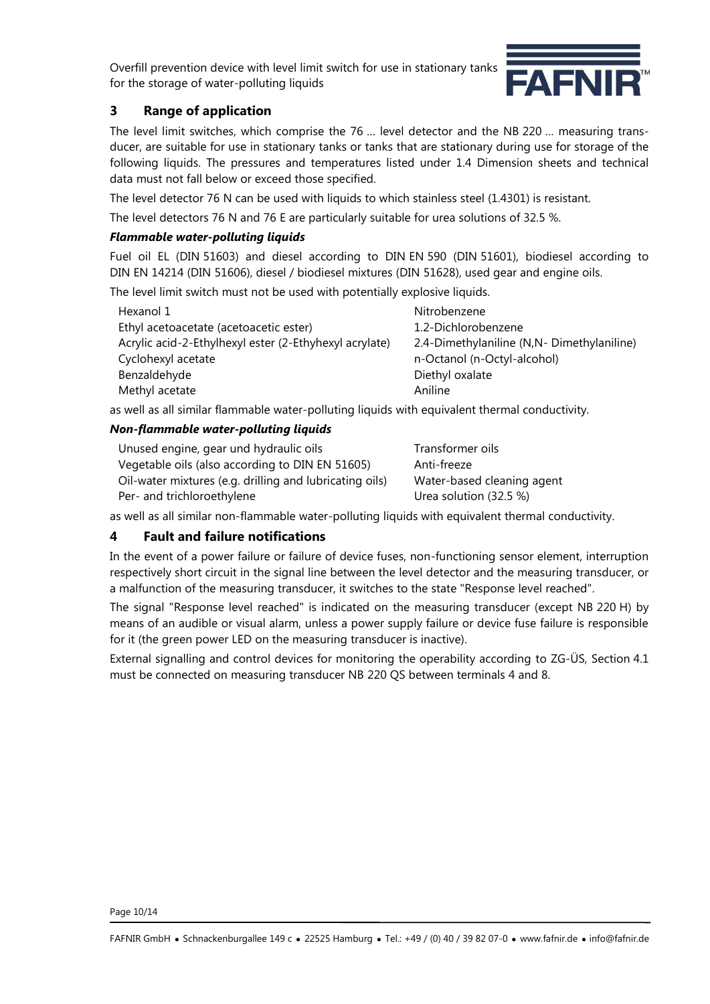

# **3 Range of application**

The level limit switches, which comprise the 76 … level detector and the NB 220 … measuring transducer, are suitable for use in stationary tanks or tanks that are stationary during use for storage of the following liquids. The pressures and temperatures listed under 1.4 Dimension sheets and technical data must not fall below or exceed those specified.

The level detector 76 N can be used with liquids to which stainless steel (1.4301) is resistant.

The level detectors 76 N and 76 E are particularly suitable for urea solutions of 32.5 %.

### *Flammable water-polluting liquids*

Fuel oil EL (DIN 51603) and diesel according to DIN EN 590 (DIN 51601), biodiesel according to DIN EN 14214 (DIN 51606), diesel / biodiesel mixtures (DIN 51628), used gear and engine oils.

The level limit switch must not be used with potentially explosive liquids.

| Hexanol 1                                              | Nitrobenzene                              |
|--------------------------------------------------------|-------------------------------------------|
| Ethyl acetoacetate (acetoacetic ester)                 | 1.2-Dichlorobenzene                       |
| Acrylic acid-2-Ethylhexyl ester (2-Ethyhexyl acrylate) | 2.4-Dimethylaniline (N,N-Dimethylaniline) |
| Cyclohexyl acetate                                     | n-Octanol (n-Octyl-alcohol)               |
| Benzaldehyde                                           | Diethyl oxalate                           |
| Methyl acetate                                         | Aniline                                   |

as well as all similar flammable water-polluting liquids with equivalent thermal conductivity.

### *Non-flammable water-polluting liquids*

| Unused engine, gear und hydraulic oils                  | Transformer oils           |
|---------------------------------------------------------|----------------------------|
| Vegetable oils (also according to DIN EN 51605)         | Anti-freeze                |
| Oil-water mixtures (e.g. drilling and lubricating oils) | Water-based cleaning agent |
| Per- and trichloroethylene                              | Urea solution (32.5 %)     |

as well as all similar non-flammable water-polluting liquids with equivalent thermal conductivity.

## **4 Fault and failure notifications**

In the event of a power failure or failure of device fuses, non-functioning sensor element, interruption respectively short circuit in the signal line between the level detector and the measuring transducer, or a malfunction of the measuring transducer, it switches to the state "Response level reached".

The signal "Response level reached" is indicated on the measuring transducer (except NB 220 H) by means of an audible or visual alarm, unless a power supply failure or device fuse failure is responsible for it (the green power LED on the measuring transducer is inactive).

External signalling and control devices for monitoring the operability according to ZG-ÜS, Section 4.1 must be connected on measuring transducer NB 220 QS between terminals 4 and 8.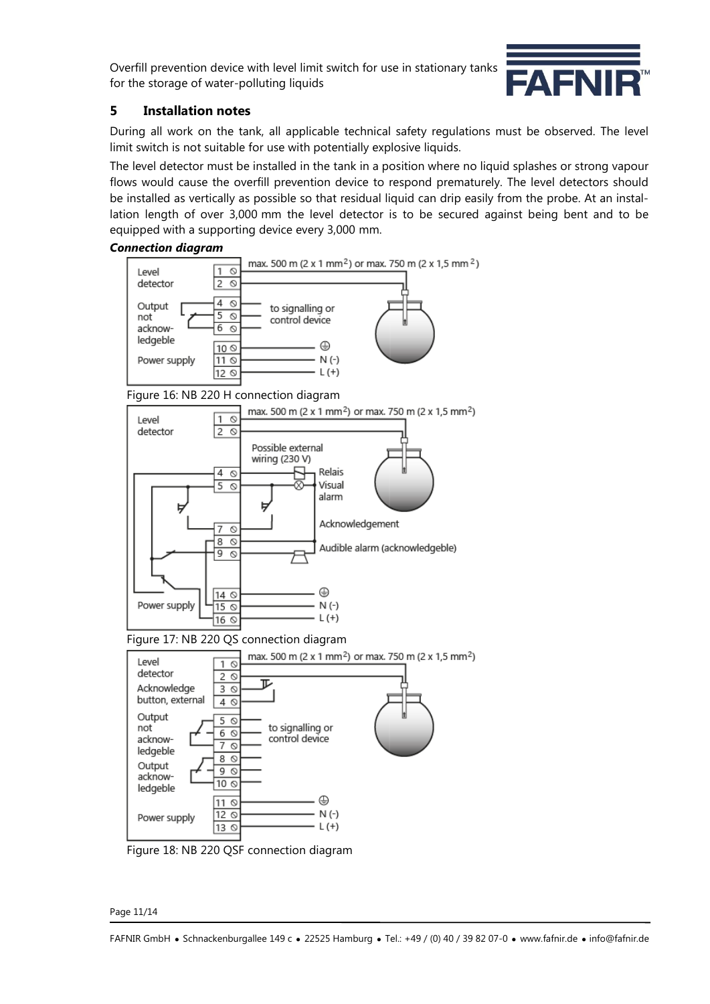

## **5 Installation notes**

During all work on the tank, all applicable technical safety regulations must be observed. The level limit switch is not suitable for use with potentially explosive liquids.

The level detector must be installed in the tank in a position where no liquid splashes or strong vapour flows would cause the overfill prevention device to respond prematurely. The level detectors should be installed as vertically as possible so that residual liquid can drip easily from the probe. At an installation length of over 3,000 mm the level detector is to be secured against being bent and to be equipped with a supporting device every 3,000 mm.



Figure 18: NB 220 QSF connection diagram

Page 11/14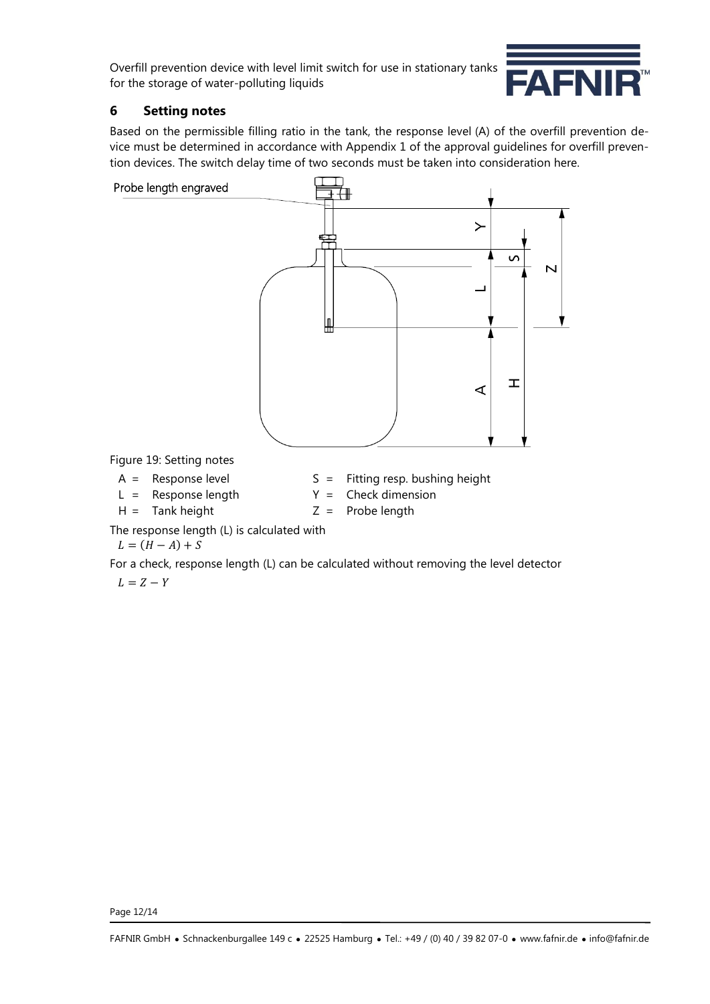

# **6 Setting notes**

Based on the permissible filling ratio in the tank, the response level (A) of the overfill prevention device must be determined in accordance with Appendix 1 of the approval guidelines for overfill prevention devices. The switch delay time of two seconds must be taken into consideration here.



The response length (L) is calculated with

 $L = (H - A) + S$ 

For a check, response length (L) can be calculated without removing the level detector

 $L = Z - Y$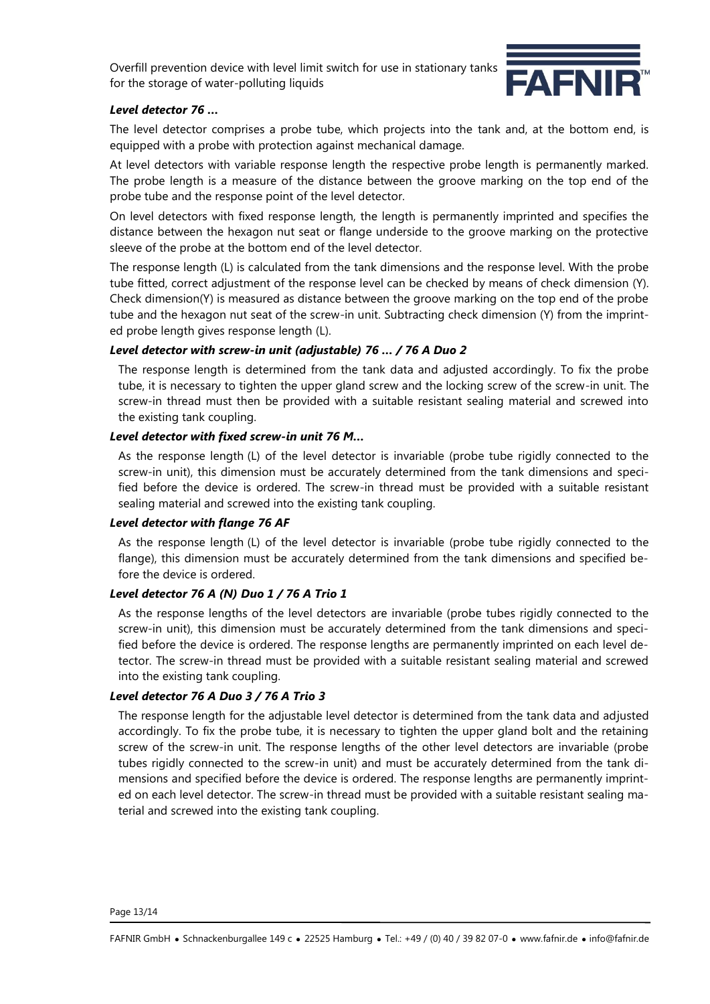

#### *Level detector 76 …*

The level detector comprises a probe tube, which projects into the tank and, at the bottom end, is equipped with a probe with protection against mechanical damage.

At level detectors with variable response length the respective probe length is permanently marked. The probe length is a measure of the distance between the groove marking on the top end of the probe tube and the response point of the level detector.

On level detectors with fixed response length, the length is permanently imprinted and specifies the distance between the hexagon nut seat or flange underside to the groove marking on the protective sleeve of the probe at the bottom end of the level detector.

The response length (L) is calculated from the tank dimensions and the response level. With the probe tube fitted, correct adjustment of the response level can be checked by means of check dimension (Y). Check dimension(Y) is measured as distance between the groove marking on the top end of the probe tube and the hexagon nut seat of the screw-in unit. Subtracting check dimension (Y) from the imprinted probe length gives response length (L).

### *Level detector with screw-in unit (adjustable) 76 … / 76 A Duo 2*

The response length is determined from the tank data and adjusted accordingly. To fix the probe tube, it is necessary to tighten the upper gland screw and the locking screw of the screw-in unit. The screw-in thread must then be provided with a suitable resistant sealing material and screwed into the existing tank coupling.

#### *Level detector with fixed screw-in unit 76 M…*

As the response length (L) of the level detector is invariable (probe tube rigidly connected to the screw-in unit), this dimension must be accurately determined from the tank dimensions and specified before the device is ordered. The screw-in thread must be provided with a suitable resistant sealing material and screwed into the existing tank coupling.

#### *Level detector with flange 76 AF*

As the response length (L) of the level detector is invariable (probe tube rigidly connected to the flange), this dimension must be accurately determined from the tank dimensions and specified before the device is ordered.

#### *Level detector 76 A (N) Duo 1 / 76 A Trio 1*

As the response lengths of the level detectors are invariable (probe tubes rigidly connected to the screw-in unit), this dimension must be accurately determined from the tank dimensions and specified before the device is ordered. The response lengths are permanently imprinted on each level detector. The screw-in thread must be provided with a suitable resistant sealing material and screwed into the existing tank coupling.

#### *Level detector 76 A Duo 3 / 76 A Trio 3*

The response length for the adjustable level detector is determined from the tank data and adjusted accordingly. To fix the probe tube, it is necessary to tighten the upper gland bolt and the retaining screw of the screw-in unit. The response lengths of the other level detectors are invariable (probe tubes rigidly connected to the screw-in unit) and must be accurately determined from the tank dimensions and specified before the device is ordered. The response lengths are permanently imprinted on each level detector. The screw-in thread must be provided with a suitable resistant sealing material and screwed into the existing tank coupling.

Page 13/14